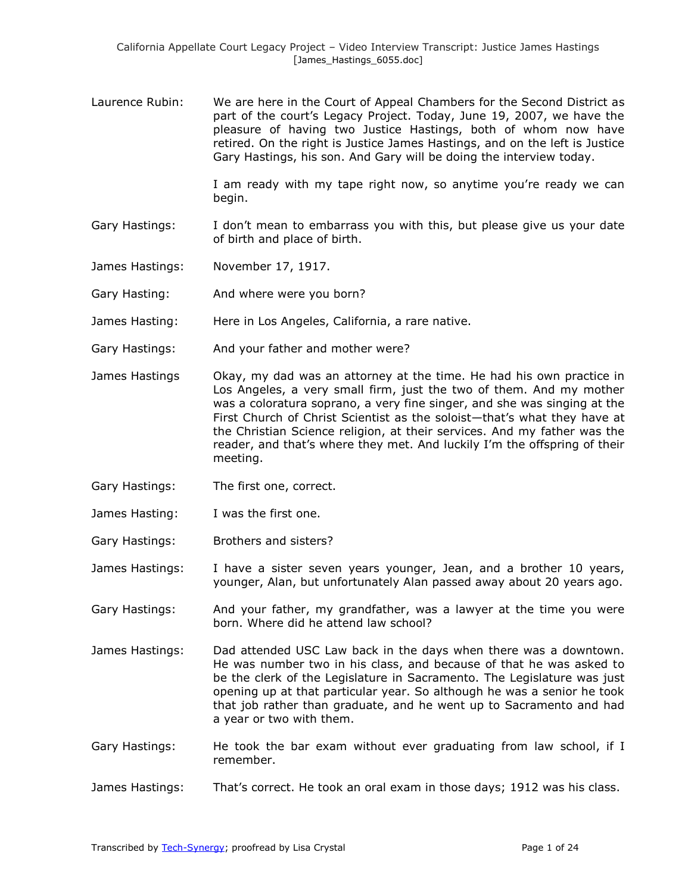Laurence Rubin: We are here in the Court of Appeal Chambers for the Second District as part of the court's Legacy Project. Today, June 19, 2007, we have the pleasure of having two Justice Hastings, both of whom now have retired. On the right is Justice James Hastings, and on the left is Justice Gary Hastings, his son. And Gary will be doing the interview today.

> I am ready with my tape right now, so anytime you're ready we can begin.

- Gary Hastings: I don't mean to embarrass you with this, but please give us your date of birth and place of birth.
- James Hastings: November 17, 1917.
- Gary Hasting: And where were you born?
- James Hasting: Here in Los Angeles, California, a rare native.
- Gary Hastings: And your father and mother were?
- James Hastings Okay, my dad was an attorney at the time. He had his own practice in Los Angeles, a very small firm, just the two of them. And my mother was a coloratura soprano, a very fine singer, and she was singing at the First Church of Christ Scientist as the soloist—that's what they have at the Christian Science religion, at their services. And my father was the reader, and that's where they met. And luckily I'm the offspring of their meeting.
- Gary Hastings: The first one, correct.
- James Hasting: I was the first one.
- Gary Hastings: Brothers and sisters?
- James Hastings: I have a sister seven years younger, Jean, and a brother 10 years, younger, Alan, but unfortunately Alan passed away about 20 years ago.
- Gary Hastings: And your father, my grandfather, was a lawyer at the time you were born. Where did he attend law school?
- James Hastings: Dad attended USC Law back in the days when there was a downtown. He was number two in his class, and because of that he was asked to be the clerk of the Legislature in Sacramento. The Legislature was just opening up at that particular year. So although he was a senior he took that job rather than graduate, and he went up to Sacramento and had a year or two with them.
- Gary Hastings: He took the bar exam without ever graduating from law school, if I remember.
- James Hastings: That's correct. He took an oral exam in those days; 1912 was his class.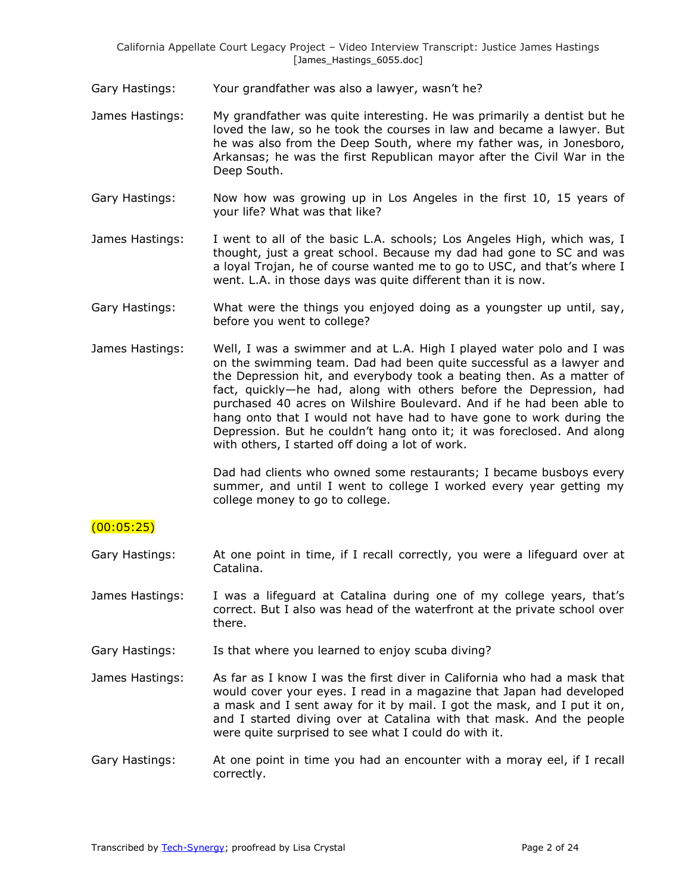- Gary Hastings: Your grandfather was also a lawyer, wasn't he?
- James Hastings: My grandfather was quite interesting. He was primarily a dentist but he loved the law, so he took the courses in law and became a lawyer. But he was also from the Deep South, where my father was, in Jonesboro, Arkansas; he was the first Republican mayor after the Civil War in the Deep South.
- Gary Hastings: Now how was growing up in Los Angeles in the first 10, 15 years of your life? What was that like?
- James Hastings: I went to all of the basic L.A. schools; Los Angeles High, which was, I thought, just a great school. Because my dad had gone to SC and was a loyal Trojan, he of course wanted me to go to USC, and that's where I went. L.A. in those days was quite different than it is now.
- Gary Hastings: What were the things you enjoyed doing as a youngster up until, say, before you went to college?
- James Hastings: Well, I was a swimmer and at L.A. High I played water polo and I was on the swimming team. Dad had been quite successful as a lawyer and the Depression hit, and everybody took a beating then. As a matter of fact, quickly—he had, along with others before the Depression, had purchased 40 acres on Wilshire Boulevard. And if he had been able to hang onto that I would not have had to have gone to work during the Depression. But he couldn't hang onto it; it was foreclosed. And along with others, I started off doing a lot of work.

Dad had clients who owned some restaurants; I became busboys every summer, and until I went to college I worked every year getting my college money to go to college.

## $(00:05:25)$

- Gary Hastings: At one point in time, if I recall correctly, you were a lifeguard over at Catalina.
- James Hastings: I was a lifeguard at Catalina during one of my college years, that's correct. But I also was head of the waterfront at the private school over there.
- Gary Hastings: Is that where you learned to enjoy scuba diving?
- James Hastings: As far as I know I was the first diver in California who had a mask that would cover your eyes. I read in a magazine that Japan had developed a mask and I sent away for it by mail. I got the mask, and I put it on, and I started diving over at Catalina with that mask. And the people were quite surprised to see what I could do with it.
- Gary Hastings: At one point in time you had an encounter with a moray eel, if I recall correctly.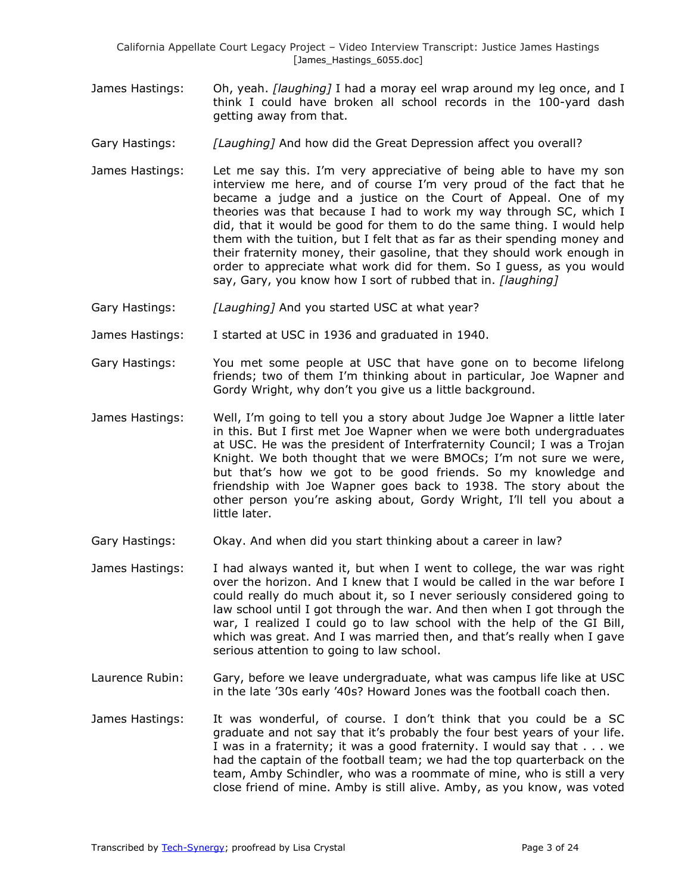- James Hastings: Oh, yeah. *[laughing]* I had a moray eel wrap around my leg once, and I think I could have broken all school records in the 100-yard dash getting away from that.
- Gary Hastings: *[Laughing]* And how did the Great Depression affect you overall?
- James Hastings: Let me say this. I'm very appreciative of being able to have my son interview me here, and of course I'm very proud of the fact that he became a judge and a justice on the Court of Appeal. One of my theories was that because I had to work my way through SC, which I did, that it would be good for them to do the same thing. I would help them with the tuition, but I felt that as far as their spending money and their fraternity money, their gasoline, that they should work enough in order to appreciate what work did for them. So I guess, as you would say, Gary, you know how I sort of rubbed that in. *[laughing]*
- Gary Hastings: *[Laughing]* And you started USC at what year?
- James Hastings: I started at USC in 1936 and graduated in 1940.
- Gary Hastings: You met some people at USC that have gone on to become lifelong friends; two of them I'm thinking about in particular, Joe Wapner and Gordy Wright, why don't you give us a little background.
- James Hastings: Well, I'm going to tell you a story about Judge Joe Wapner a little later in this. But I first met Joe Wapner when we were both undergraduates at USC. He was the president of Interfraternity Council; I was a Trojan Knight. We both thought that we were BMOCs; I'm not sure we were, but that's how we got to be good friends. So my knowledge and friendship with Joe Wapner goes back to 1938. The story about the other person you're asking about, Gordy Wright, I'll tell you about a little later.
- Gary Hastings: Okay. And when did you start thinking about a career in law?
- James Hastings: I had always wanted it, but when I went to college, the war was right over the horizon. And I knew that I would be called in the war before I could really do much about it, so I never seriously considered going to law school until I got through the war. And then when I got through the war, I realized I could go to law school with the help of the GI Bill, which was great. And I was married then, and that's really when I gave serious attention to going to law school.
- Laurence Rubin: Gary, before we leave undergraduate, what was campus life like at USC in the late '30s early '40s? Howard Jones was the football coach then.
- James Hastings: It was wonderful, of course. I don't think that you could be a SC graduate and not say that it's probably the four best years of your life. I was in a fraternity; it was a good fraternity. I would say that . . . we had the captain of the football team; we had the top quarterback on the team, Amby Schindler, who was a roommate of mine, who is still a very close friend of mine. Amby is still alive. Amby, as you know, was voted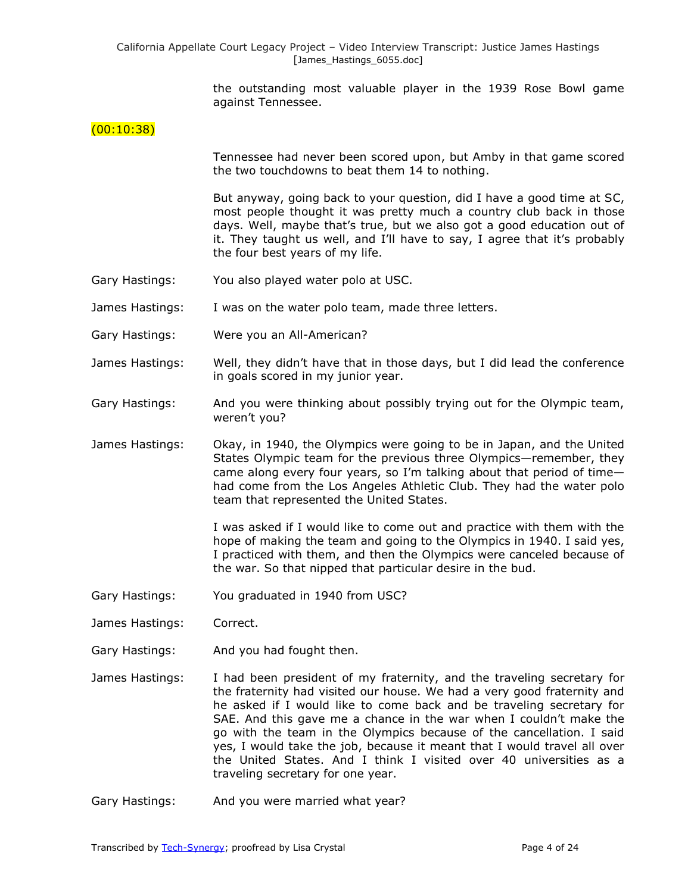the outstanding most valuable player in the 1939 Rose Bowl game against Tennessee.

## $(00:10:38)$

Tennessee had never been scored upon, but Amby in that game scored the two touchdowns to beat them 14 to nothing.

But anyway, going back to your question, did I have a good time at SC, most people thought it was pretty much a country club back in those days. Well, maybe that's true, but we also got a good education out of it. They taught us well, and I'll have to say, I agree that it's probably the four best years of my life.

- Gary Hastings: You also played water polo at USC.
- James Hastings: I was on the water polo team, made three letters.
- Gary Hastings: Were you an All-American?
- James Hastings: Well, they didn't have that in those days, but I did lead the conference in goals scored in my junior year.
- Gary Hastings: And you were thinking about possibly trying out for the Olympic team, weren't you?
- James Hastings: Okay, in 1940, the Olympics were going to be in Japan, and the United States Olympic team for the previous three Olympics—remember, they came along every four years, so I'm talking about that period of time had come from the Los Angeles Athletic Club. They had the water polo team that represented the United States.

I was asked if I would like to come out and practice with them with the hope of making the team and going to the Olympics in 1940. I said yes, I practiced with them, and then the Olympics were canceled because of the war. So that nipped that particular desire in the bud.

- Gary Hastings: You graduated in 1940 from USC?
- James Hastings: Correct.
- Gary Hastings: And you had fought then.
- James Hastings: I had been president of my fraternity, and the traveling secretary for the fraternity had visited our house. We had a very good fraternity and he asked if I would like to come back and be traveling secretary for SAE. And this gave me a chance in the war when I couldn't make the go with the team in the Olympics because of the cancellation. I said yes, I would take the job, because it meant that I would travel all over the United States. And I think I visited over 40 universities as a traveling secretary for one year.
- Gary Hastings: And you were married what year?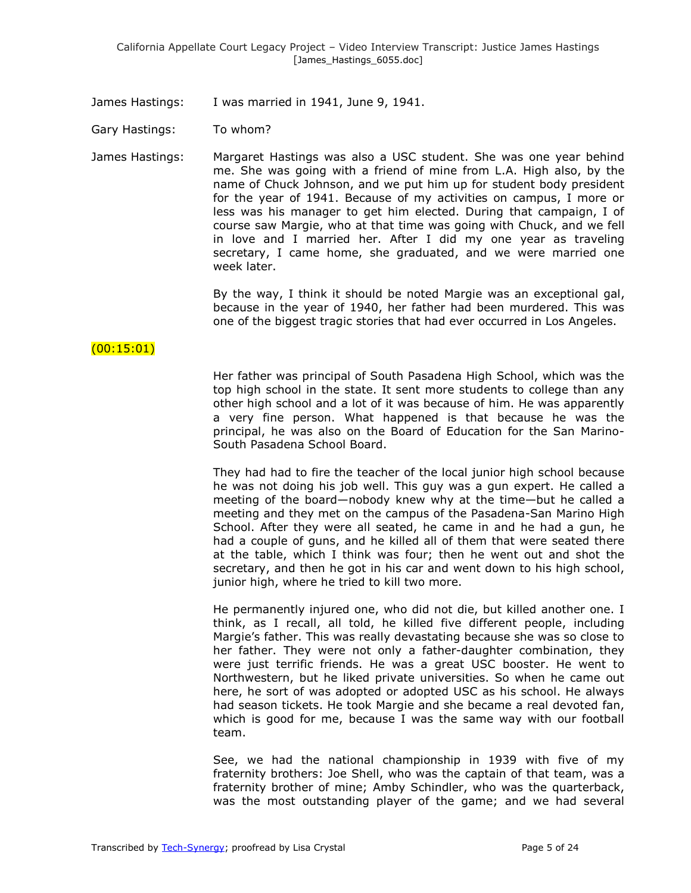James Hastings: I was married in 1941, June 9, 1941.

Gary Hastings: To whom?

James Hastings: Margaret Hastings was also a USC student. She was one year behind me. She was going with a friend of mine from L.A. High also, by the name of Chuck Johnson, and we put him up for student body president for the year of 1941. Because of my activities on campus, I more or less was his manager to get him elected. During that campaign, I of course saw Margie, who at that time was going with Chuck, and we fell in love and I married her. After I did my one year as traveling secretary, I came home, she graduated, and we were married one week later.

> By the way, I think it should be noted Margie was an exceptional gal, because in the year of 1940, her father had been murdered. This was one of the biggest tragic stories that had ever occurred in Los Angeles.

## (00:15:01)

Her father was principal of South Pasadena High School, which was the top high school in the state. It sent more students to college than any other high school and a lot of it was because of him. He was apparently a very fine person. What happened is that because he was the principal, he was also on the Board of Education for the San Marino-South Pasadena School Board.

They had had to fire the teacher of the local junior high school because he was not doing his job well. This guy was a gun expert. He called a meeting of the board—nobody knew why at the time—but he called a meeting and they met on the campus of the Pasadena-San Marino High School. After they were all seated, he came in and he had a gun, he had a couple of guns, and he killed all of them that were seated there at the table, which I think was four; then he went out and shot the secretary, and then he got in his car and went down to his high school, junior high, where he tried to kill two more.

He permanently injured one, who did not die, but killed another one. I think, as I recall, all told, he killed five different people, including Margie's father. This was really devastating because she was so close to her father. They were not only a father-daughter combination, they were just terrific friends. He was a great USC booster. He went to Northwestern, but he liked private universities. So when he came out here, he sort of was adopted or adopted USC as his school. He always had season tickets. He took Margie and she became a real devoted fan, which is good for me, because I was the same way with our football team.

See, we had the national championship in 1939 with five of my fraternity brothers: Joe Shell, who was the captain of that team, was a fraternity brother of mine; Amby Schindler, who was the quarterback, was the most outstanding player of the game; and we had several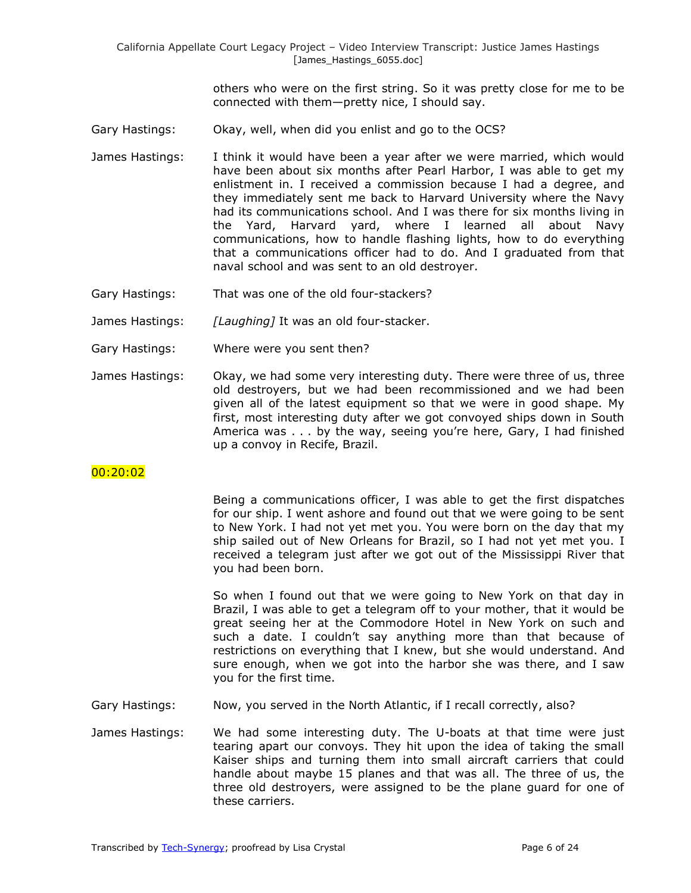others who were on the first string. So it was pretty close for me to be connected with them—pretty nice, I should say.

- Gary Hastings: Okay, well, when did you enlist and go to the OCS?
- James Hastings: I think it would have been a year after we were married, which would have been about six months after Pearl Harbor, I was able to get my enlistment in. I received a commission because I had a degree, and they immediately sent me back to Harvard University where the Navy had its communications school. And I was there for six months living in the Yard, Harvard yard, where I learned all about Navy communications, how to handle flashing lights, how to do everything that a communications officer had to do. And I graduated from that naval school and was sent to an old destroyer.
- Gary Hastings: That was one of the old four-stackers?
- James Hastings: *[Laughing]* It was an old four-stacker.
- Gary Hastings: Where were you sent then?
- James Hastings: Okay, we had some very interesting duty. There were three of us, three old destroyers, but we had been recommissioned and we had been given all of the latest equipment so that we were in good shape. My first, most interesting duty after we got convoyed ships down in South America was . . . by the way, seeing you're here, Gary, I had finished up a convoy in Recife, Brazil.

## 00:20:02

Being a communications officer, I was able to get the first dispatches for our ship. I went ashore and found out that we were going to be sent to New York. I had not yet met you. You were born on the day that my ship sailed out of New Orleans for Brazil, so I had not yet met you. I received a telegram just after we got out of the Mississippi River that you had been born.

So when I found out that we were going to New York on that day in Brazil, I was able to get a telegram off to your mother, that it would be great seeing her at the Commodore Hotel in New York on such and such a date. I couldn't say anything more than that because of restrictions on everything that I knew, but she would understand. And sure enough, when we got into the harbor she was there, and I saw you for the first time.

- Gary Hastings: Now, you served in the North Atlantic, if I recall correctly, also?
- James Hastings: We had some interesting duty. The U-boats at that time were just tearing apart our convoys. They hit upon the idea of taking the small Kaiser ships and turning them into small aircraft carriers that could handle about maybe 15 planes and that was all. The three of us, the three old destroyers, were assigned to be the plane guard for one of these carriers.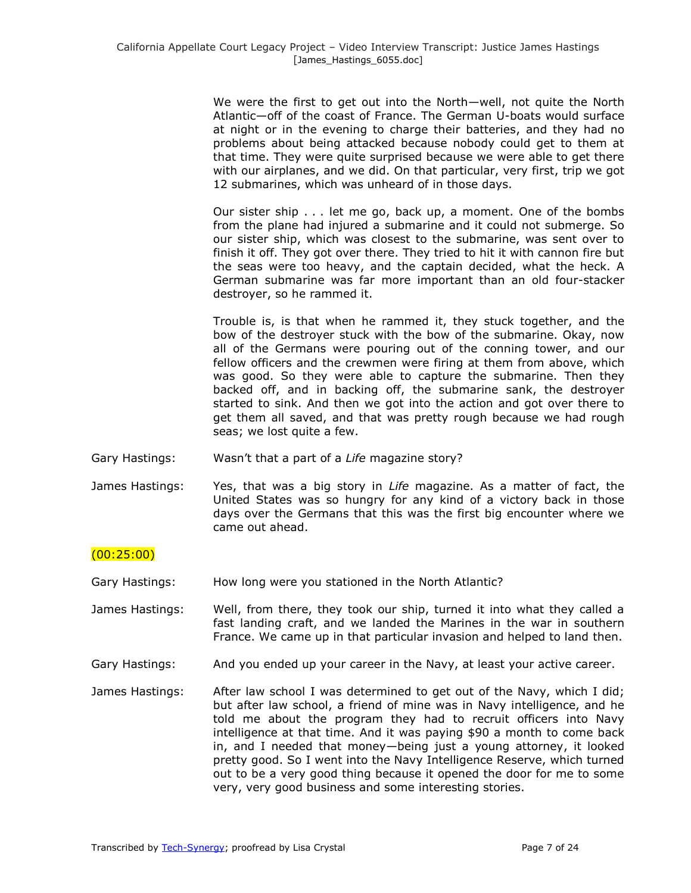We were the first to get out into the North—well, not quite the North Atlantic—off of the coast of France. The German U-boats would surface at night or in the evening to charge their batteries, and they had no problems about being attacked because nobody could get to them at that time. They were quite surprised because we were able to get there with our airplanes, and we did. On that particular, very first, trip we got 12 submarines, which was unheard of in those days.

Our sister ship . . . let me go, back up, a moment. One of the bombs from the plane had injured a submarine and it could not submerge. So our sister ship, which was closest to the submarine, was sent over to finish it off. They got over there. They tried to hit it with cannon fire but the seas were too heavy, and the captain decided, what the heck. A German submarine was far more important than an old four-stacker destroyer, so he rammed it.

Trouble is, is that when he rammed it, they stuck together, and the bow of the destroyer stuck with the bow of the submarine. Okay, now all of the Germans were pouring out of the conning tower, and our fellow officers and the crewmen were firing at them from above, which was good. So they were able to capture the submarine. Then they backed off, and in backing off, the submarine sank, the destroyer started to sink. And then we got into the action and got over there to get them all saved, and that was pretty rough because we had rough seas; we lost quite a few.

- Gary Hastings: Wasn't that a part of a *Life* magazine story?
- James Hastings: Yes, that was a big story in *Life* magazine. As a matter of fact, the United States was so hungry for any kind of a victory back in those days over the Germans that this was the first big encounter where we came out ahead.

## (00:25:00)

Gary Hastings: How long were you stationed in the North Atlantic?

James Hastings: Well, from there, they took our ship, turned it into what they called a fast landing craft, and we landed the Marines in the war in southern France. We came up in that particular invasion and helped to land then.

- Gary Hastings: And you ended up your career in the Navy, at least your active career.
- James Hastings: After law school I was determined to get out of the Navy, which I did; but after law school, a friend of mine was in Navy intelligence, and he told me about the program they had to recruit officers into Navy intelligence at that time. And it was paying \$90 a month to come back in, and I needed that money—being just a young attorney, it looked pretty good. So I went into the Navy Intelligence Reserve, which turned out to be a very good thing because it opened the door for me to some very, very good business and some interesting stories.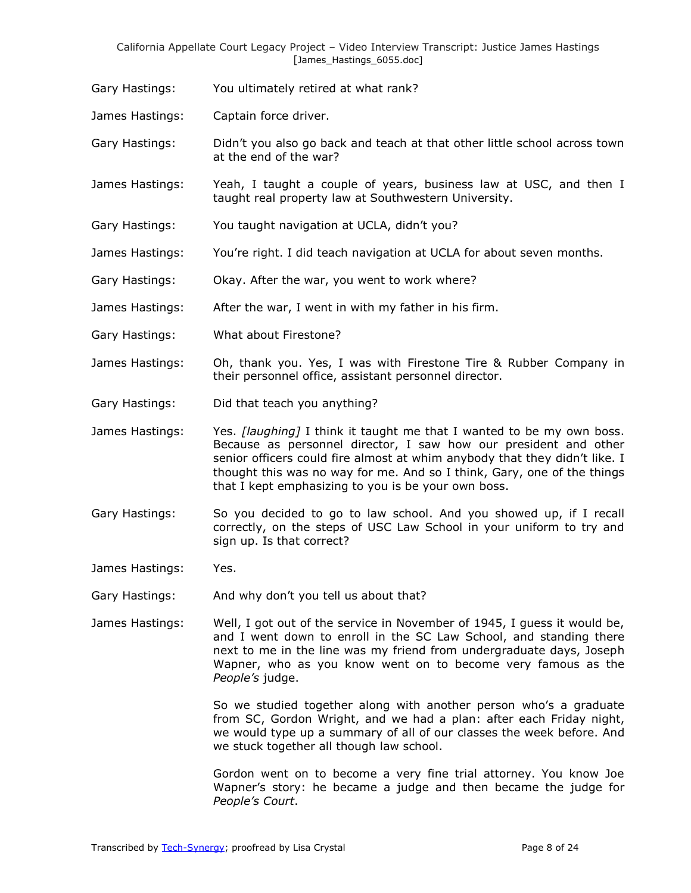Gary Hastings: You ultimately retired at what rank?

James Hastings: Captain force driver.

Gary Hastings: Didn't you also go back and teach at that other little school across town at the end of the war?

James Hastings: Yeah, I taught a couple of years, business law at USC, and then I taught real property law at Southwestern University.

- Gary Hastings: You taught navigation at UCLA, didn't you?
- James Hastings: You're right. I did teach navigation at UCLA for about seven months.
- Gary Hastings: Okay. After the war, you went to work where?

James Hastings: After the war, I went in with my father in his firm.

Gary Hastings: What about Firestone?

James Hastings: Oh, thank you. Yes, I was with Firestone Tire & Rubber Company in their personnel office, assistant personnel director.

Gary Hastings: Did that teach you anything?

James Hastings: Yes. *[laughing]* I think it taught me that I wanted to be my own boss. Because as personnel director, I saw how our president and other senior officers could fire almost at whim anybody that they didn't like. I thought this was no way for me. And so I think, Gary, one of the things that I kept emphasizing to you is be your own boss.

Gary Hastings: So you decided to go to law school. And you showed up, if I recall correctly, on the steps of USC Law School in your uniform to try and sign up. Is that correct?

James Hastings: Yes.

Gary Hastings: And why don't you tell us about that?

James Hastings: Well, I got out of the service in November of 1945, I guess it would be, and I went down to enroll in the SC Law School, and standing there next to me in the line was my friend from undergraduate days, Joseph Wapner, who as you know went on to become very famous as the *People's* judge.

> So we studied together along with another person who's a graduate from SC, Gordon Wright, and we had a plan: after each Friday night, we would type up a summary of all of our classes the week before. And we stuck together all though law school.

> Gordon went on to become a very fine trial attorney. You know Joe Wapner's story: he became a judge and then became the judge for *People's Court*.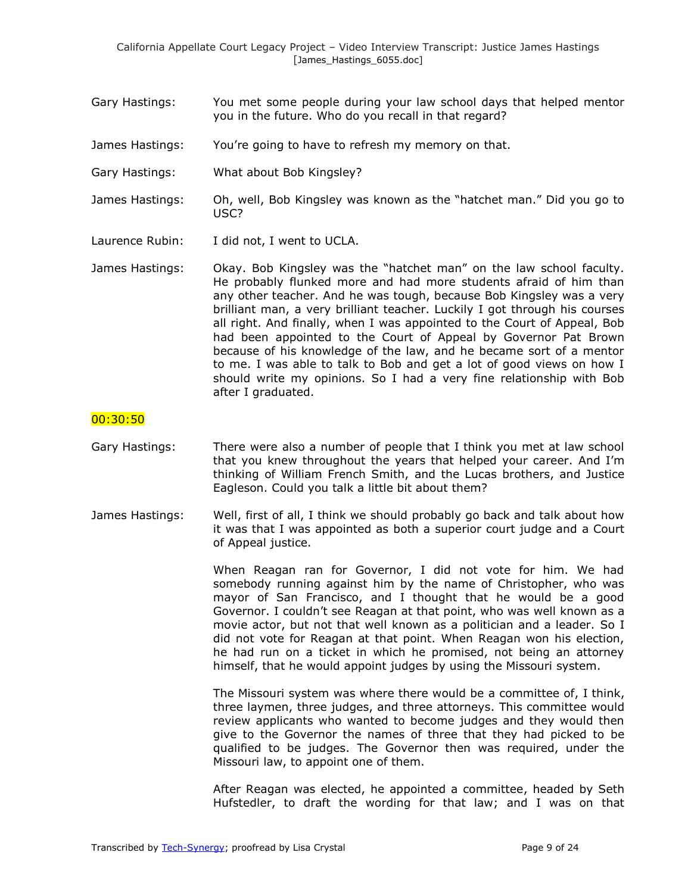- Gary Hastings: You met some people during your law school days that helped mentor you in the future. Who do you recall in that regard?
- James Hastings: You're going to have to refresh my memory on that.
- Gary Hastings: What about Bob Kingsley?
- James Hastings: Oh, well, Bob Kingsley was known as the "hatchet man." Did you go to USC?
- Laurence Rubin: I did not, I went to UCLA.
- James Hastings: Okay. Bob Kingsley was the "hatchet man" on the law school faculty. He probably flunked more and had more students afraid of him than any other teacher. And he was tough, because Bob Kingsley was a very brilliant man, a very brilliant teacher. Luckily I got through his courses all right. And finally, when I was appointed to the Court of Appeal, Bob had been appointed to the Court of Appeal by Governor Pat Brown because of his knowledge of the law, and he became sort of a mentor to me. I was able to talk to Bob and get a lot of good views on how I should write my opinions. So I had a very fine relationship with Bob after I graduated.

#### 00:30:50

- Gary Hastings: There were also a number of people that I think you met at law school that you knew throughout the years that helped your career. And I'm thinking of William French Smith, and the Lucas brothers, and Justice Eagleson. Could you talk a little bit about them?
- James Hastings: Well, first of all, I think we should probably go back and talk about how it was that I was appointed as both a superior court judge and a Court of Appeal justice.

When Reagan ran for Governor, I did not vote for him. We had somebody running against him by the name of Christopher, who was mayor of San Francisco, and I thought that he would be a good Governor. I couldn't see Reagan at that point, who was well known as a movie actor, but not that well known as a politician and a leader. So I did not vote for Reagan at that point. When Reagan won his election, he had run on a ticket in which he promised, not being an attorney himself, that he would appoint judges by using the Missouri system.

The Missouri system was where there would be a committee of, I think, three laymen, three judges, and three attorneys. This committee would review applicants who wanted to become judges and they would then give to the Governor the names of three that they had picked to be qualified to be judges. The Governor then was required, under the Missouri law, to appoint one of them.

After Reagan was elected, he appointed a committee, headed by Seth Hufstedler, to draft the wording for that law; and I was on that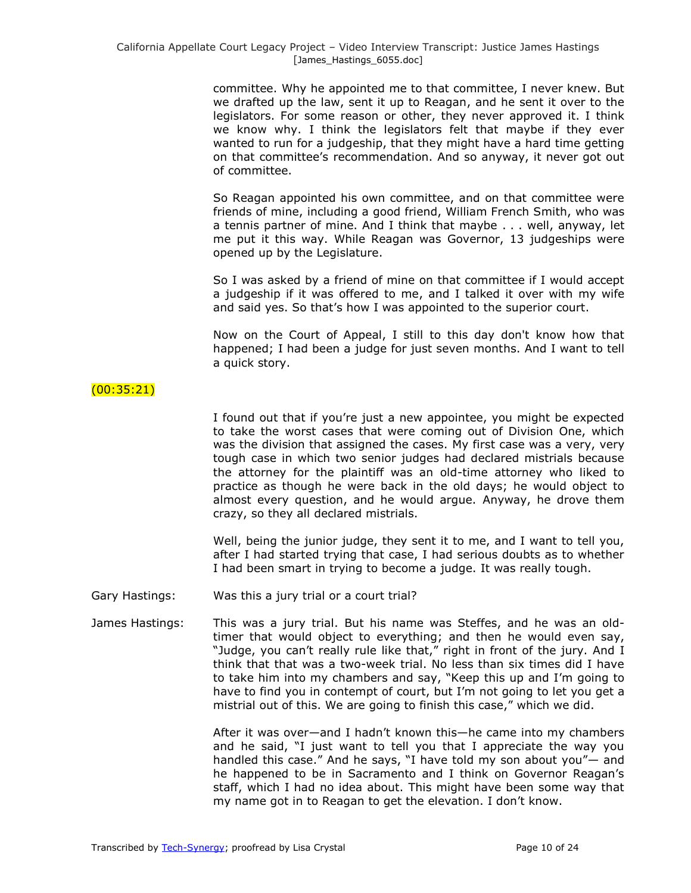committee. Why he appointed me to that committee, I never knew. But we drafted up the law, sent it up to Reagan, and he sent it over to the legislators. For some reason or other, they never approved it. I think we know why. I think the legislators felt that maybe if they ever wanted to run for a judgeship, that they might have a hard time getting on that committee's recommendation. And so anyway, it never got out of committee.

So Reagan appointed his own committee, and on that committee were friends of mine, including a good friend, William French Smith, who was a tennis partner of mine. And I think that maybe . . . well, anyway, let me put it this way. While Reagan was Governor, 13 judgeships were opened up by the Legislature.

So I was asked by a friend of mine on that committee if I would accept a judgeship if it was offered to me, and I talked it over with my wife and said yes. So that's how I was appointed to the superior court.

Now on the Court of Appeal, I still to this day don't know how that happened; I had been a judge for just seven months. And I want to tell a quick story.

## (00:35:21)

I found out that if you're just a new appointee, you might be expected to take the worst cases that were coming out of Division One, which was the division that assigned the cases. My first case was a very, very tough case in which two senior judges had declared mistrials because the attorney for the plaintiff was an old-time attorney who liked to practice as though he were back in the old days; he would object to almost every question, and he would argue. Anyway, he drove them crazy, so they all declared mistrials.

Well, being the junior judge, they sent it to me, and I want to tell you, after I had started trying that case, I had serious doubts as to whether I had been smart in trying to become a judge. It was really tough.

- Gary Hastings: Was this a jury trial or a court trial?
- James Hastings: This was a jury trial. But his name was Steffes, and he was an oldtimer that would object to everything; and then he would even say, "Judge, you can't really rule like that," right in front of the jury. And I think that that was a two-week trial. No less than six times did I have to take him into my chambers and say, "Keep this up and I'm going to have to find you in contempt of court, but I'm not going to let you get a mistrial out of this. We are going to finish this case," which we did.

After it was over—and I hadn't known this—he came into my chambers and he said,  $\mathbb{I}$  just want to tell you that I appreciate the way you handled this case." And he says, "I have told my son about you"- and he happened to be in Sacramento and I think on Governor Reagan's staff, which I had no idea about. This might have been some way that my name got in to Reagan to get the elevation. I don't know.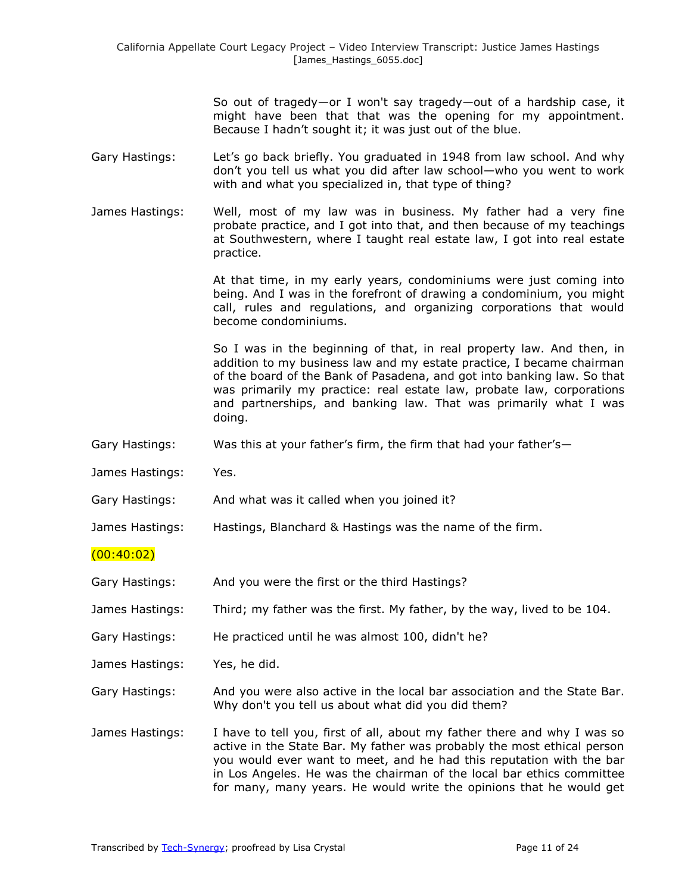So out of tragedy—or I won't say tragedy—out of a hardship case, it might have been that that was the opening for my appointment. Because I hadn't sought it; it was just out of the blue.

- Gary Hastings: Let's go back briefly. You graduated in 1948 from law school. And why don't you tell us what you did after law school—who you went to work with and what you specialized in, that type of thing?
- James Hastings: Well, most of my law was in business. My father had a very fine probate practice, and I got into that, and then because of my teachings at Southwestern, where I taught real estate law, I got into real estate practice.

At that time, in my early years, condominiums were just coming into being. And I was in the forefront of drawing a condominium, you might call, rules and regulations, and organizing corporations that would become condominiums.

So I was in the beginning of that, in real property law. And then, in addition to my business law and my estate practice, I became chairman of the board of the Bank of Pasadena, and got into banking law. So that was primarily my practice: real estate law, probate law, corporations and partnerships, and banking law. That was primarily what I was doing.

- Gary Hastings: Was this at your father's firm, the firm that had your father's—
- James Hastings: Yes.
- Gary Hastings: And what was it called when you joined it?
- James Hastings: Hastings, Blanchard & Hastings was the name of the firm.
- $(00:40:02)$
- Gary Hastings: And you were the first or the third Hastings?

James Hastings: Third; my father was the first. My father, by the way, lived to be 104.

Gary Hastings: He practiced until he was almost 100, didn't he?

James Hastings: Yes, he did.

Gary Hastings: And you were also active in the local bar association and the State Bar. Why don't you tell us about what did you did them?

James Hastings: I have to tell you, first of all, about my father there and why I was so active in the State Bar. My father was probably the most ethical person you would ever want to meet, and he had this reputation with the bar in Los Angeles. He was the chairman of the local bar ethics committee for many, many years. He would write the opinions that he would get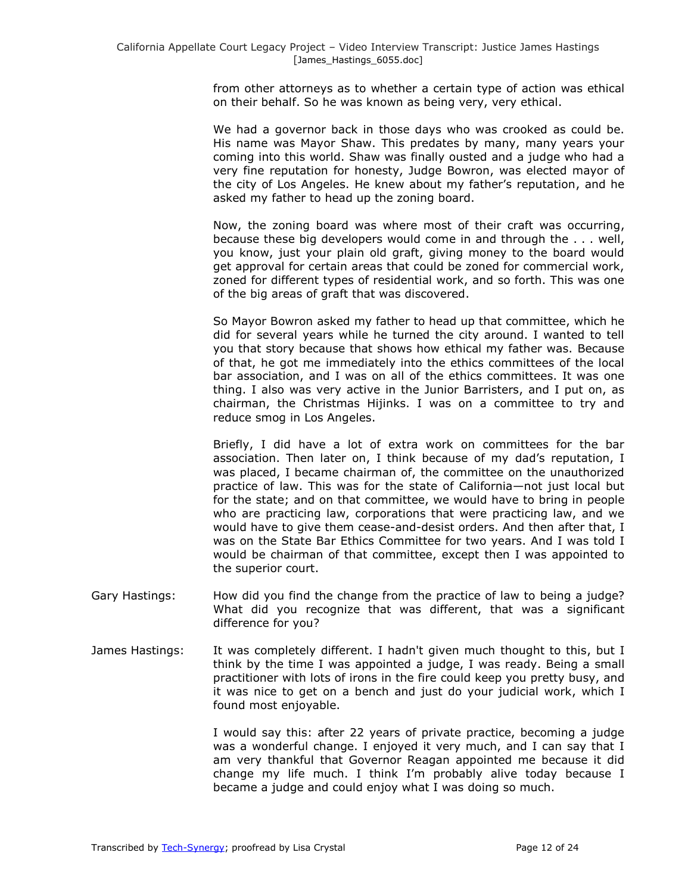from other attorneys as to whether a certain type of action was ethical on their behalf. So he was known as being very, very ethical.

We had a governor back in those days who was crooked as could be. His name was Mayor Shaw. This predates by many, many years your coming into this world. Shaw was finally ousted and a judge who had a very fine reputation for honesty, Judge Bowron, was elected mayor of the city of Los Angeles. He knew about my father's reputation, and he asked my father to head up the zoning board.

Now, the zoning board was where most of their craft was occurring, because these big developers would come in and through the . . . well, you know, just your plain old graft, giving money to the board would get approval for certain areas that could be zoned for commercial work, zoned for different types of residential work, and so forth. This was one of the big areas of graft that was discovered.

So Mayor Bowron asked my father to head up that committee, which he did for several years while he turned the city around. I wanted to tell you that story because that shows how ethical my father was. Because of that, he got me immediately into the ethics committees of the local bar association, and I was on all of the ethics committees. It was one thing. I also was very active in the Junior Barristers, and I put on, as chairman, the Christmas Hijinks. I was on a committee to try and reduce smog in Los Angeles.

Briefly, I did have a lot of extra work on committees for the bar association. Then later on, I think because of my dad's reputation, I was placed, I became chairman of, the committee on the unauthorized practice of law. This was for the state of California—not just local but for the state; and on that committee, we would have to bring in people who are practicing law, corporations that were practicing law, and we would have to give them cease-and-desist orders. And then after that, I was on the State Bar Ethics Committee for two years. And I was told I would be chairman of that committee, except then I was appointed to the superior court.

- Gary Hastings: How did you find the change from the practice of law to being a judge? What did you recognize that was different, that was a significant difference for you?
- James Hastings: It was completely different. I hadn't given much thought to this, but I think by the time I was appointed a judge, I was ready. Being a small practitioner with lots of irons in the fire could keep you pretty busy, and it was nice to get on a bench and just do your judicial work, which I found most enjoyable.

I would say this: after 22 years of private practice, becoming a judge was a wonderful change. I enjoyed it very much, and I can say that I am very thankful that Governor Reagan appointed me because it did change my life much. I think I'm probably alive today because I became a judge and could enjoy what I was doing so much.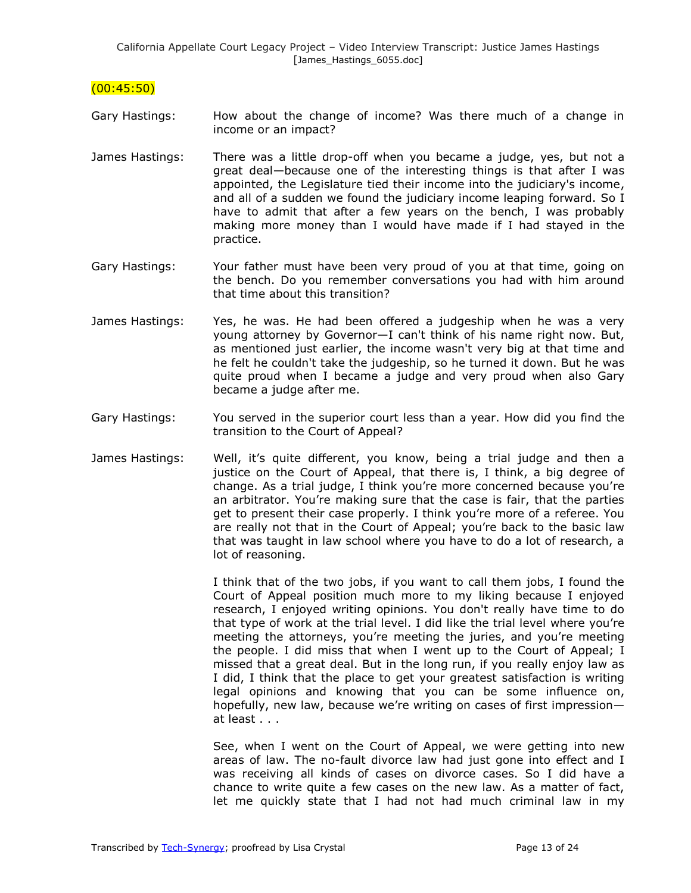#### $(00:45:50)$

- Gary Hastings: How about the change of income? Was there much of a change in income or an impact?
- James Hastings: There was a little drop-off when you became a judge, yes, but not a great deal—because one of the interesting things is that after I was appointed, the Legislature tied their income into the judiciary's income, and all of a sudden we found the judiciary income leaping forward. So I have to admit that after a few years on the bench, I was probably making more money than I would have made if I had stayed in the practice.
- Gary Hastings: Your father must have been very proud of you at that time, going on the bench. Do you remember conversations you had with him around that time about this transition?
- James Hastings: Yes, he was. He had been offered a judgeship when he was a very young attorney by Governor—I can't think of his name right now. But, as mentioned just earlier, the income wasn't very big at that time and he felt he couldn't take the judgeship, so he turned it down. But he was quite proud when I became a judge and very proud when also Gary became a judge after me.
- Gary Hastings: You served in the superior court less than a year. How did you find the transition to the Court of Appeal?
- James Hastings: Well, it's quite different, you know, being a trial judge and then a justice on the Court of Appeal, that there is, I think, a big degree of change. As a trial judge, I think you're more concerned because you're an arbitrator. You're making sure that the case is fair, that the parties get to present their case properly. I think you're more of a referee. You are really not that in the Court of Appeal; you're back to the basic law that was taught in law school where you have to do a lot of research, a lot of reasoning.

I think that of the two jobs, if you want to call them jobs, I found the Court of Appeal position much more to my liking because I enjoyed research, I enjoyed writing opinions. You don't really have time to do that type of work at the trial level. I did like the trial level where you're meeting the attorneys, you're meeting the juries, and you're meeting the people. I did miss that when I went up to the Court of Appeal; I missed that a great deal. But in the long run, if you really enjoy law as I did, I think that the place to get your greatest satisfaction is writing legal opinions and knowing that you can be some influence on, hopefully, new law, because we're writing on cases of first impression at least . . .

See, when I went on the Court of Appeal, we were getting into new areas of law. The no-fault divorce law had just gone into effect and I was receiving all kinds of cases on divorce cases. So I did have a chance to write quite a few cases on the new law. As a matter of fact, let me quickly state that I had not had much criminal law in my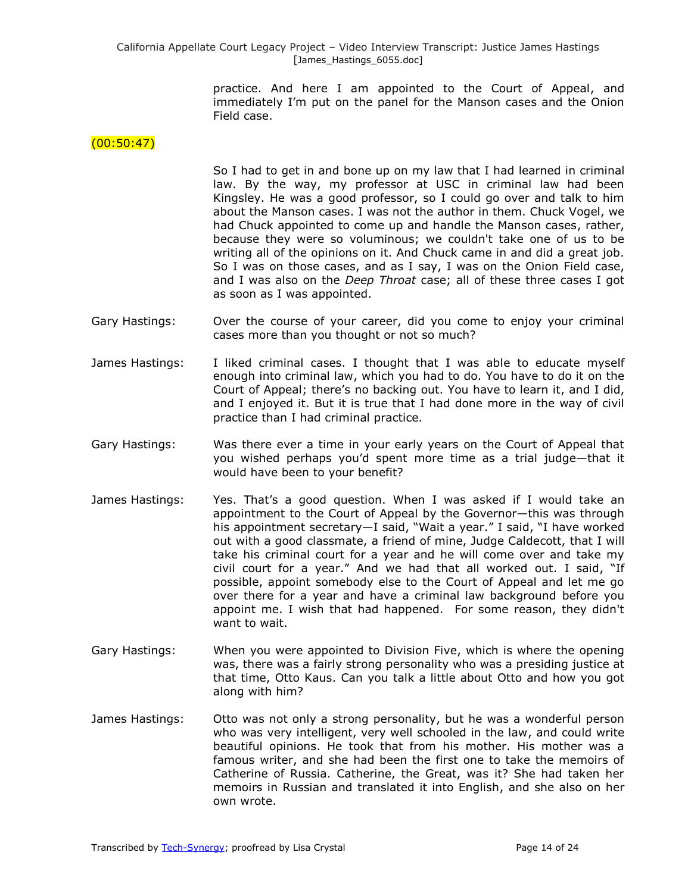> practice. And here I am appointed to the Court of Appeal, and immediately I'm put on the panel for the Manson cases and the Onion Field case.

## $(00:50:47)$

So I had to get in and bone up on my law that I had learned in criminal law. By the way, my professor at USC in criminal law had been Kingsley. He was a good professor, so I could go over and talk to him about the Manson cases. I was not the author in them. Chuck Vogel, we had Chuck appointed to come up and handle the Manson cases, rather, because they were so voluminous; we couldn't take one of us to be writing all of the opinions on it. And Chuck came in and did a great job. So I was on those cases, and as I say, I was on the Onion Field case, and I was also on the *Deep Throat* case; all of these three cases I got as soon as I was appointed.

- Gary Hastings: Over the course of your career, did you come to enjoy your criminal cases more than you thought or not so much?
- James Hastings: I liked criminal cases. I thought that I was able to educate myself enough into criminal law, which you had to do. You have to do it on the Court of Appeal; there's no backing out. You have to learn it, and I did, and I enjoyed it. But it is true that I had done more in the way of civil practice than I had criminal practice.
- Gary Hastings: Was there ever a time in your early years on the Court of Appeal that you wished perhaps you'd spent more time as a trial judge—that it would have been to your benefit?
- James Hastings: Yes. That's a good question. When I was asked if I would take an appointment to the Court of Appeal by the Governor—this was through his appointment secretary—I said, "Wait a year." I said, "I have worked out with a good classmate, a friend of mine, Judge Caldecott, that I will take his criminal court for a year and he will come over and take my civil court for a year." And we had that all worked out. I said, "If possible, appoint somebody else to the Court of Appeal and let me go over there for a year and have a criminal law background before you appoint me. I wish that had happened. For some reason, they didn't want to wait.
- Gary Hastings: When you were appointed to Division Five, which is where the opening was, there was a fairly strong personality who was a presiding justice at that time, Otto Kaus. Can you talk a little about Otto and how you got along with him?
- James Hastings: Otto was not only a strong personality, but he was a wonderful person who was very intelligent, very well schooled in the law, and could write beautiful opinions. He took that from his mother. His mother was a famous writer, and she had been the first one to take the memoirs of Catherine of Russia. Catherine, the Great, was it? She had taken her memoirs in Russian and translated it into English, and she also on her own wrote.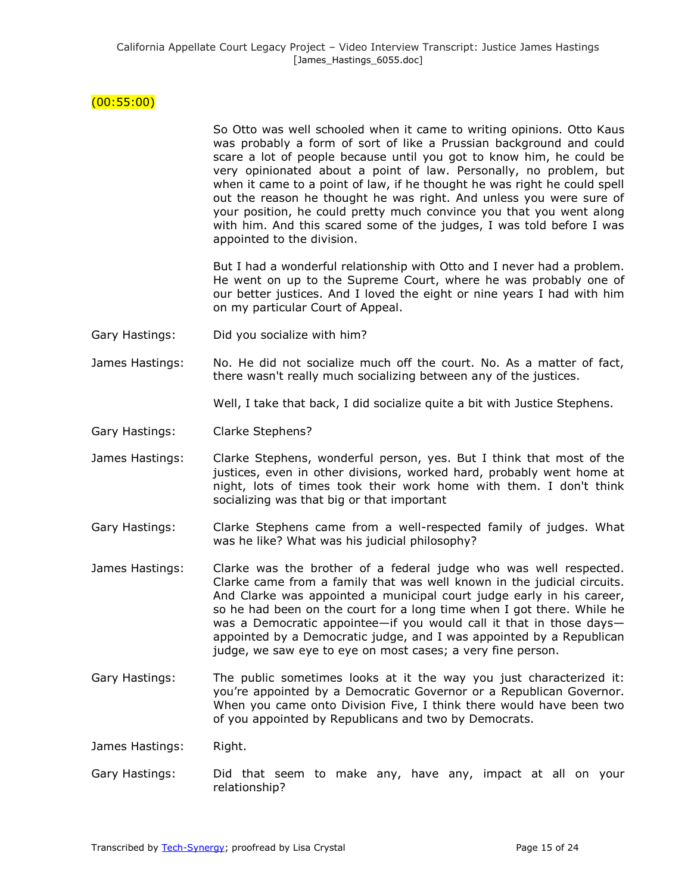# (00:55:00)

So Otto was well schooled when it came to writing opinions. Otto Kaus was probably a form of sort of like a Prussian background and could scare a lot of people because until you got to know him, he could be very opinionated about a point of law. Personally, no problem, but when it came to a point of law, if he thought he was right he could spell out the reason he thought he was right. And unless you were sure of your position, he could pretty much convince you that you went along with him. And this scared some of the judges, I was told before I was appointed to the division.

But I had a wonderful relationship with Otto and I never had a problem. He went on up to the Supreme Court, where he was probably one of our better justices. And I loved the eight or nine years I had with him on my particular Court of Appeal.

- Gary Hastings: Did you socialize with him?
- James Hastings: No. He did not socialize much off the court. No. As a matter of fact, there wasn't really much socializing between any of the justices.

Well, I take that back, I did socialize quite a bit with Justice Stephens.

- Gary Hastings: Clarke Stephens?
- James Hastings: Clarke Stephens, wonderful person, yes. But I think that most of the justices, even in other divisions, worked hard, probably went home at night, lots of times took their work home with them. I don't think socializing was that big or that important
- Gary Hastings: Clarke Stephens came from a well-respected family of judges. What was he like? What was his judicial philosophy?

James Hastings: Clarke was the brother of a federal judge who was well respected. Clarke came from a family that was well known in the judicial circuits. And Clarke was appointed a municipal court judge early in his career, so he had been on the court for a long time when I got there. While he was a Democratic appointee—if you would call it that in those days appointed by a Democratic judge, and I was appointed by a Republican judge, we saw eye to eye on most cases; a very fine person.

Gary Hastings: The public sometimes looks at it the way you just characterized it: you're appointed by a Democratic Governor or a Republican Governor. When you came onto Division Five, I think there would have been two of you appointed by Republicans and two by Democrats.

James Hastings: Right.

Gary Hastings: Did that seem to make any, have any, impact at all on your relationship?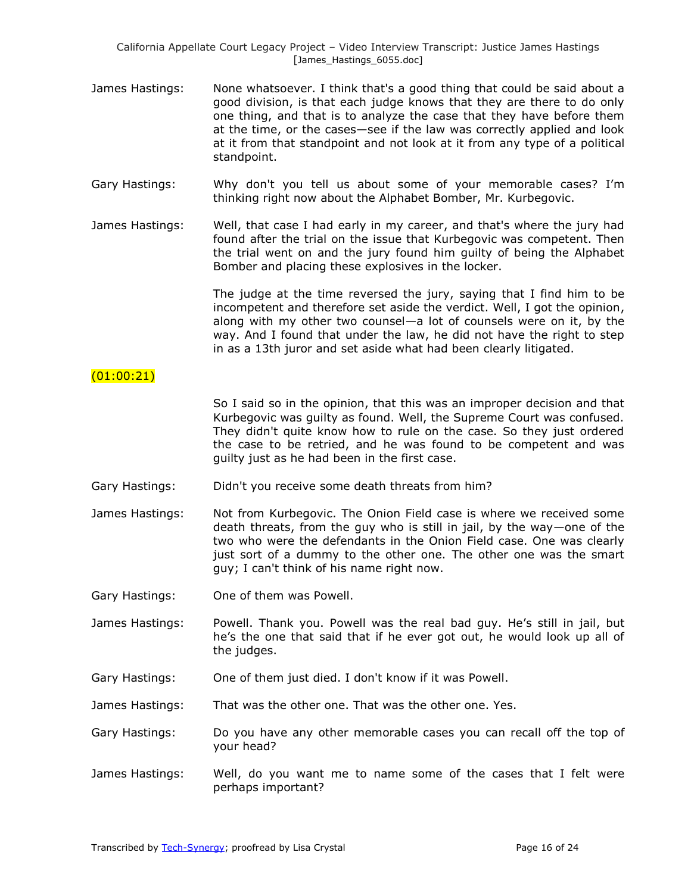- James Hastings: None whatsoever. I think that's a good thing that could be said about a good division, is that each judge knows that they are there to do only one thing, and that is to analyze the case that they have before them at the time, or the cases—see if the law was correctly applied and look at it from that standpoint and not look at it from any type of a political standpoint.
- Gary Hastings: Why don't you tell us about some of your memorable cases? I'm thinking right now about the Alphabet Bomber, Mr. Kurbegovic.
- James Hastings: Well, that case I had early in my career, and that's where the jury had found after the trial on the issue that Kurbegovic was competent. Then the trial went on and the jury found him guilty of being the Alphabet Bomber and placing these explosives in the locker.

The judge at the time reversed the jury, saying that I find him to be incompetent and therefore set aside the verdict. Well, I got the opinion, along with my other two counsel—a lot of counsels were on it, by the way. And I found that under the law, he did not have the right to step in as a 13th juror and set aside what had been clearly litigated.

#### (01:00:21)

So I said so in the opinion, that this was an improper decision and that Kurbegovic was guilty as found. Well, the Supreme Court was confused. They didn't quite know how to rule on the case. So they just ordered the case to be retried, and he was found to be competent and was guilty just as he had been in the first case.

- Gary Hastings: Didn't you receive some death threats from him?
- James Hastings: Not from Kurbegovic. The Onion Field case is where we received some death threats, from the guy who is still in jail, by the way—one of the two who were the defendants in the Onion Field case. One was clearly just sort of a dummy to the other one. The other one was the smart guy; I can't think of his name right now.
- Gary Hastings: One of them was Powell.
- James Hastings: Powell. Thank you. Powell was the real bad guy. He's still in jail, but he's the one that said that if he ever got out, he would look up all of the judges.
- Gary Hastings: One of them just died. I don't know if it was Powell.
- James Hastings: That was the other one. That was the other one. Yes.

Gary Hastings: Do you have any other memorable cases you can recall off the top of your head?

James Hastings: Well, do you want me to name some of the cases that I felt were perhaps important?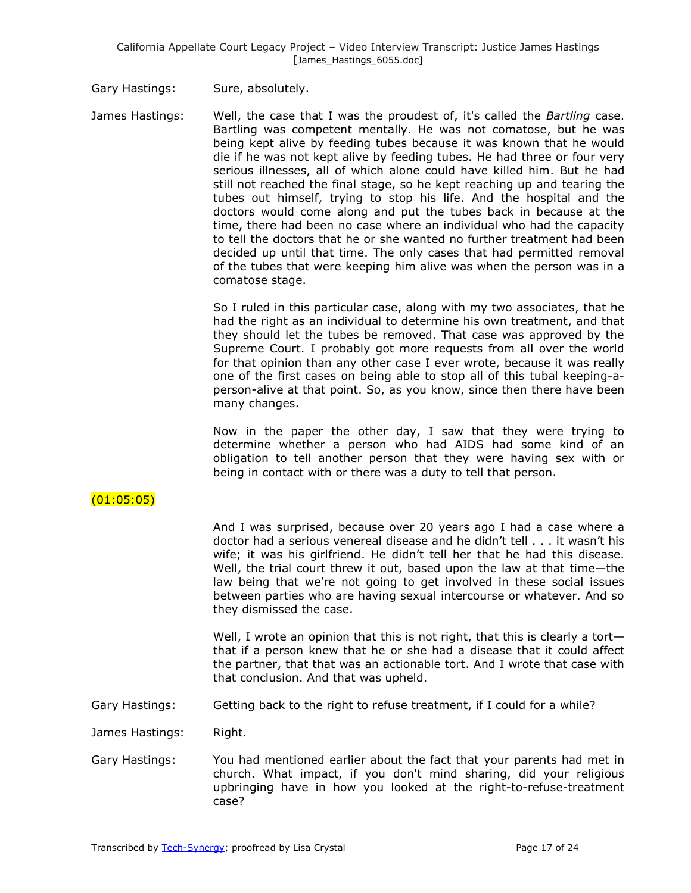Gary Hastings: Sure, absolutely.

James Hastings: Well, the case that I was the proudest of, it's called the *Bartling* case. Bartling was competent mentally. He was not comatose, but he was being kept alive by feeding tubes because it was known that he would die if he was not kept alive by feeding tubes. He had three or four very serious illnesses, all of which alone could have killed him. But he had still not reached the final stage, so he kept reaching up and tearing the tubes out himself, trying to stop his life. And the hospital and the doctors would come along and put the tubes back in because at the time, there had been no case where an individual who had the capacity to tell the doctors that he or she wanted no further treatment had been decided up until that time. The only cases that had permitted removal of the tubes that were keeping him alive was when the person was in a comatose stage.

> So I ruled in this particular case, along with my two associates, that he had the right as an individual to determine his own treatment, and that they should let the tubes be removed. That case was approved by the Supreme Court. I probably got more requests from all over the world for that opinion than any other case I ever wrote, because it was really one of the first cases on being able to stop all of this tubal keeping-aperson-alive at that point. So, as you know, since then there have been many changes.

> Now in the paper the other day, I saw that they were trying to determine whether a person who had AIDS had some kind of an obligation to tell another person that they were having sex with or being in contact with or there was a duty to tell that person.

# (01:05:05)

And I was surprised, because over 20 years ago I had a case where a doctor had a serious venereal disease and he didn't tell . . . it wasn't his wife; it was his girlfriend. He didn't tell her that he had this disease. Well, the trial court threw it out, based upon the law at that time—the law being that we're not going to get involved in these social issues between parties who are having sexual intercourse or whatever. And so they dismissed the case.

Well, I wrote an opinion that this is not right, that this is clearly a tortthat if a person knew that he or she had a disease that it could affect the partner, that that was an actionable tort. And I wrote that case with that conclusion. And that was upheld.

Gary Hastings: Getting back to the right to refuse treatment, if I could for a while?

James Hastings: Right.

Gary Hastings: You had mentioned earlier about the fact that your parents had met in church. What impact, if you don't mind sharing, did your religious upbringing have in how you looked at the right-to-refuse-treatment case?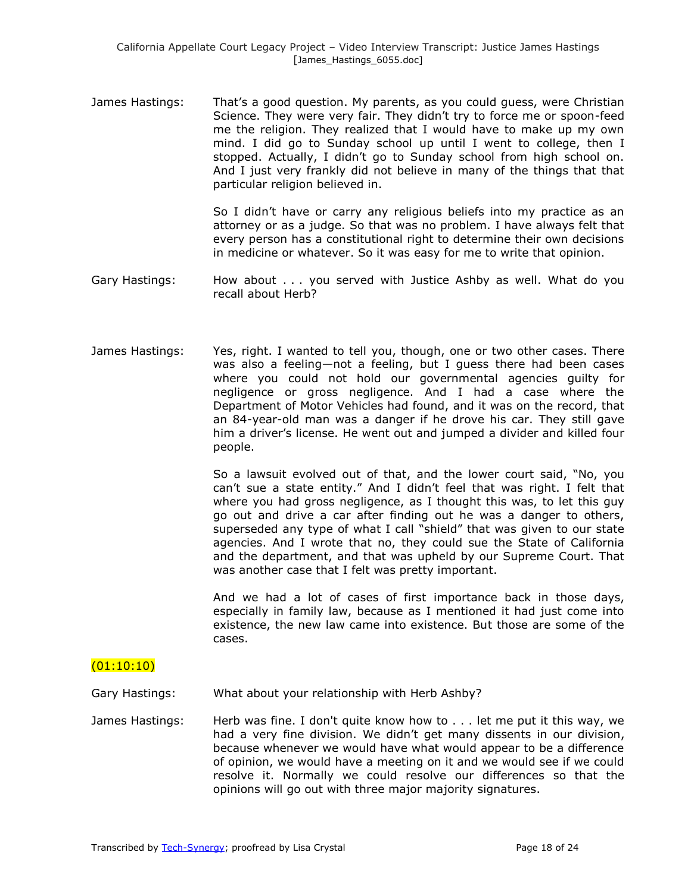James Hastings: That's a good question. My parents, as you could guess, were Christian Science. They were very fair. They didn't try to force me or spoon-feed me the religion. They realized that I would have to make up my own mind. I did go to Sunday school up until I went to college, then I stopped. Actually, I didn't go to Sunday school from high school on. And I just very frankly did not believe in many of the things that that particular religion believed in.

> So I didn't have or carry any religious beliefs into my practice as an attorney or as a judge. So that was no problem. I have always felt that every person has a constitutional right to determine their own decisions in medicine or whatever. So it was easy for me to write that opinion.

Gary Hastings: How about . . . you served with Justice Ashby as well. What do you recall about Herb?

James Hastings: Yes, right. I wanted to tell you, though, one or two other cases. There was also a feeling—not a feeling, but I guess there had been cases where you could not hold our governmental agencies guilty for negligence or gross negligence. And I had a case where the Department of Motor Vehicles had found, and it was on the record, that an 84-year-old man was a danger if he drove his car. They still gave him a driver's license. He went out and jumped a divider and killed four people.

> So a lawsuit evolved out of that, and the lower court said, "No, you can't sue a state entity." And I didn't feel that was right. I felt that where you had gross negligence, as I thought this was, to let this guy go out and drive a car after finding out he was a danger to others, superseded any type of what I call "shield" that was given to our state agencies. And I wrote that no, they could sue the State of California and the department, and that was upheld by our Supreme Court. That was another case that I felt was pretty important.

> And we had a lot of cases of first importance back in those days, especially in family law, because as I mentioned it had just come into existence, the new law came into existence. But those are some of the cases.

## $(01:10:10)$

Gary Hastings: What about your relationship with Herb Ashby?

James Hastings: Herb was fine. I don't quite know how to . . . let me put it this way, we had a very fine division. We didn't get many dissents in our division, because whenever we would have what would appear to be a difference of opinion, we would have a meeting on it and we would see if we could resolve it. Normally we could resolve our differences so that the opinions will go out with three major majority signatures.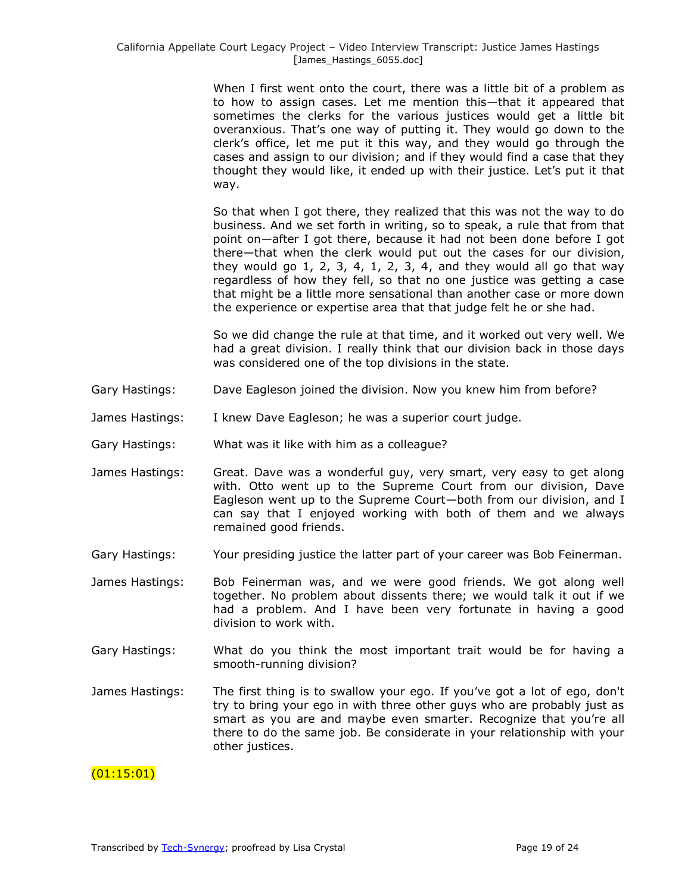When I first went onto the court, there was a little bit of a problem as to how to assign cases. Let me mention this—that it appeared that sometimes the clerks for the various justices would get a little bit overanxious. That's one way of putting it. They would go down to the clerk's office, let me put it this way, and they would go through the cases and assign to our division; and if they would find a case that they thought they would like, it ended up with their justice. Let's put it that way.

So that when I got there, they realized that this was not the way to do business. And we set forth in writing, so to speak, a rule that from that point on—after I got there, because it had not been done before I got there—that when the clerk would put out the cases for our division, they would go  $1, 2, 3, 4, 1, 2, 3, 4,$  and they would all go that way regardless of how they fell, so that no one justice was getting a case that might be a little more sensational than another case or more down the experience or expertise area that that judge felt he or she had.

So we did change the rule at that time, and it worked out very well. We had a great division. I really think that our division back in those days was considered one of the top divisions in the state.

- Gary Hastings: Dave Eagleson joined the division. Now you knew him from before?
- James Hastings: I knew Dave Eagleson; he was a superior court judge.
- Gary Hastings: What was it like with him as a colleague?
- James Hastings: Great. Dave was a wonderful guy, very smart, very easy to get along with. Otto went up to the Supreme Court from our division, Dave Eagleson went up to the Supreme Court—both from our division, and I can say that I enjoyed working with both of them and we always remained good friends.
- Gary Hastings: Your presiding justice the latter part of your career was Bob Feinerman.
- James Hastings: Bob Feinerman was, and we were good friends. We got along well together. No problem about dissents there; we would talk it out if we had a problem. And I have been very fortunate in having a good division to work with.
- Gary Hastings: What do you think the most important trait would be for having a smooth-running division?
- James Hastings: The first thing is to swallow your ego. If you've got a lot of ego, don't try to bring your ego in with three other guys who are probably just as smart as you are and maybe even smarter. Recognize that you're all there to do the same job. Be considerate in your relationship with your other justices.

## (01:15:01)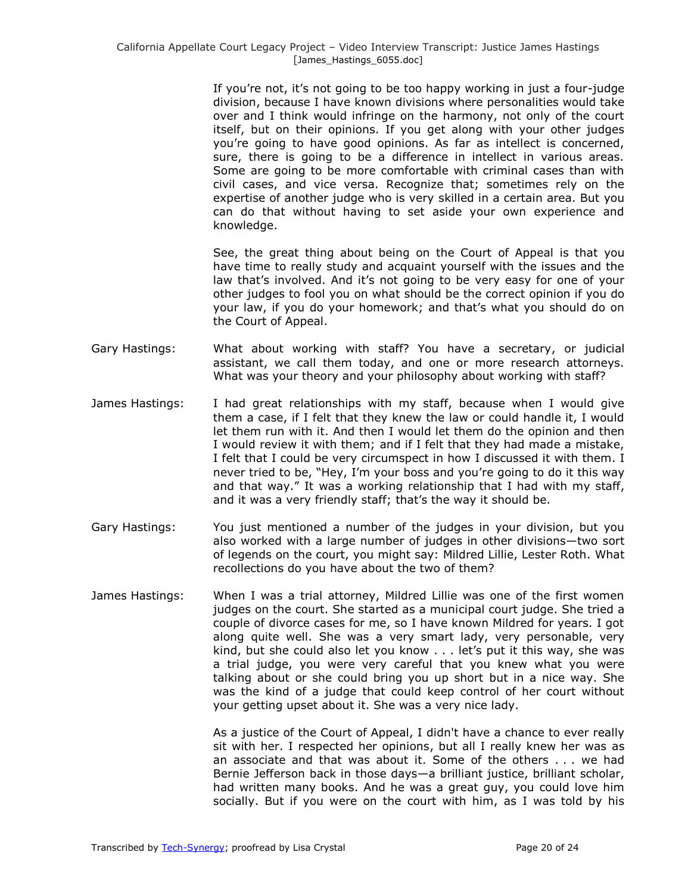If you're not, it's not going to be too happy working in just a four-judge division, because I have known divisions where personalities would take over and I think would infringe on the harmony, not only of the court itself, but on their opinions. If you get along with your other judges you're going to have good opinions. As far as intellect is concerned, sure, there is going to be a difference in intellect in various areas. Some are going to be more comfortable with criminal cases than with civil cases, and vice versa. Recognize that; sometimes rely on the expertise of another judge who is very skilled in a certain area. But you can do that without having to set aside your own experience and knowledge.

See, the great thing about being on the Court of Appeal is that you have time to really study and acquaint yourself with the issues and the law that's involved. And it's not going to be very easy for one of your other judges to fool you on what should be the correct opinion if you do your law, if you do your homework; and that's what you should do on the Court of Appeal.

- Gary Hastings: What about working with staff? You have a secretary, or judicial assistant, we call them today, and one or more research attorneys. What was your theory and your philosophy about working with staff?
- James Hastings: I had great relationships with my staff, because when I would give them a case, if I felt that they knew the law or could handle it, I would let them run with it. And then I would let them do the opinion and then I would review it with them; and if I felt that they had made a mistake, I felt that I could be very circumspect in how I discussed it with them. I never tried to be, "Hey, I'm your boss and you're going to do it this way and that way." It was a working relationship that I had with my staff, and it was a very friendly staff; that's the way it should be.
- Gary Hastings: You just mentioned a number of the judges in your division, but you also worked with a large number of judges in other divisions—two sort of legends on the court, you might say: Mildred Lillie, Lester Roth. What recollections do you have about the two of them?
- James Hastings: When I was a trial attorney, Mildred Lillie was one of the first women judges on the court. She started as a municipal court judge. She tried a couple of divorce cases for me, so I have known Mildred for years. I got along quite well. She was a very smart lady, very personable, very kind, but she could also let you know . . . let's put it this way, she was a trial judge, you were very careful that you knew what you were talking about or she could bring you up short but in a nice way. She was the kind of a judge that could keep control of her court without your getting upset about it. She was a very nice lady.

As a justice of the Court of Appeal, I didn't have a chance to ever really sit with her. I respected her opinions, but all I really knew her was as an associate and that was about it. Some of the others . . . we had Bernie Jefferson back in those days—a brilliant justice, brilliant scholar, had written many books. And he was a great guy, you could love him socially. But if you were on the court with him, as I was told by his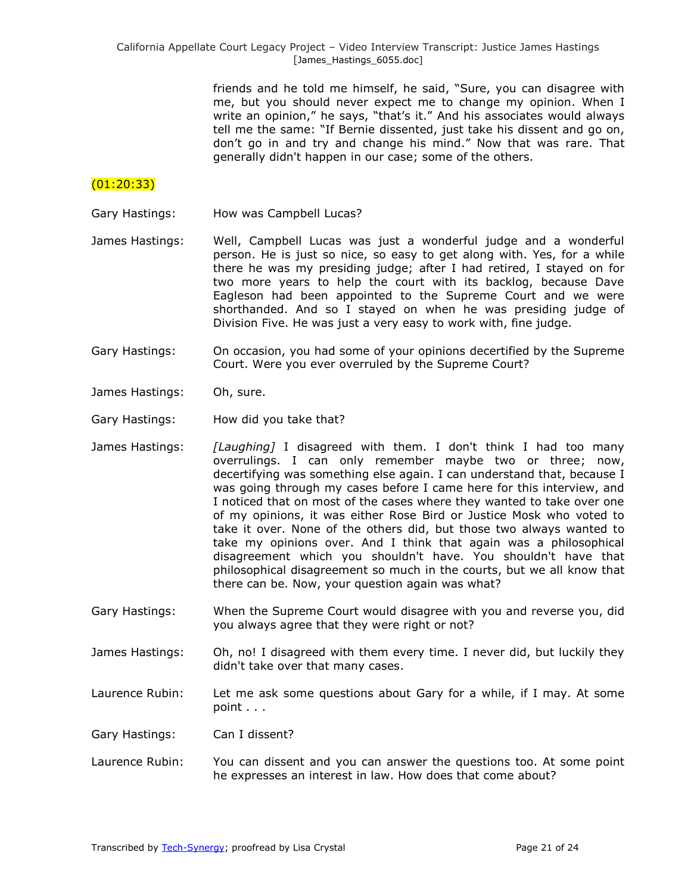friends and he told me himself, he said, "Sure, you can disagree with me, but you should never expect me to change my opinion. When I write an opinion," he says, "that's it." And his associates would always tell me the same: "If Bernie dissented, just take his dissent and go on, don't go in and try and change his mind." Now that was rare. That generally didn't happen in our case; some of the others.

# (01:20:33)

- Gary Hastings: How was Campbell Lucas?
- James Hastings: Well, Campbell Lucas was just a wonderful judge and a wonderful person. He is just so nice, so easy to get along with. Yes, for a while there he was my presiding judge; after I had retired, I stayed on for two more years to help the court with its backlog, because Dave Eagleson had been appointed to the Supreme Court and we were shorthanded. And so I stayed on when he was presiding judge of Division Five. He was just a very easy to work with, fine judge.
- Gary Hastings: On occasion, you had some of your opinions decertified by the Supreme Court. Were you ever overruled by the Supreme Court?
- James Hastings: Oh, sure.
- Gary Hastings: How did you take that?
- James Hastings: *[Laughing]* I disagreed with them. I don't think I had too many overrulings. I can only remember maybe two or three; now, decertifying was something else again. I can understand that, because I was going through my cases before I came here for this interview, and I noticed that on most of the cases where they wanted to take over one of my opinions, it was either Rose Bird or Justice Mosk who voted to take it over. None of the others did, but those two always wanted to take my opinions over. And I think that again was a philosophical disagreement which you shouldn't have. You shouldn't have that philosophical disagreement so much in the courts, but we all know that there can be. Now, your question again was what?
- Gary Hastings: When the Supreme Court would disagree with you and reverse you, did you always agree that they were right or not?
- James Hastings: Oh, no! I disagreed with them every time. I never did, but luckily they didn't take over that many cases.
- Laurence Rubin: Let me ask some questions about Gary for a while, if I may. At some point . . .

Gary Hastings: Can I dissent?

Laurence Rubin: You can dissent and you can answer the questions too. At some point he expresses an interest in law. How does that come about?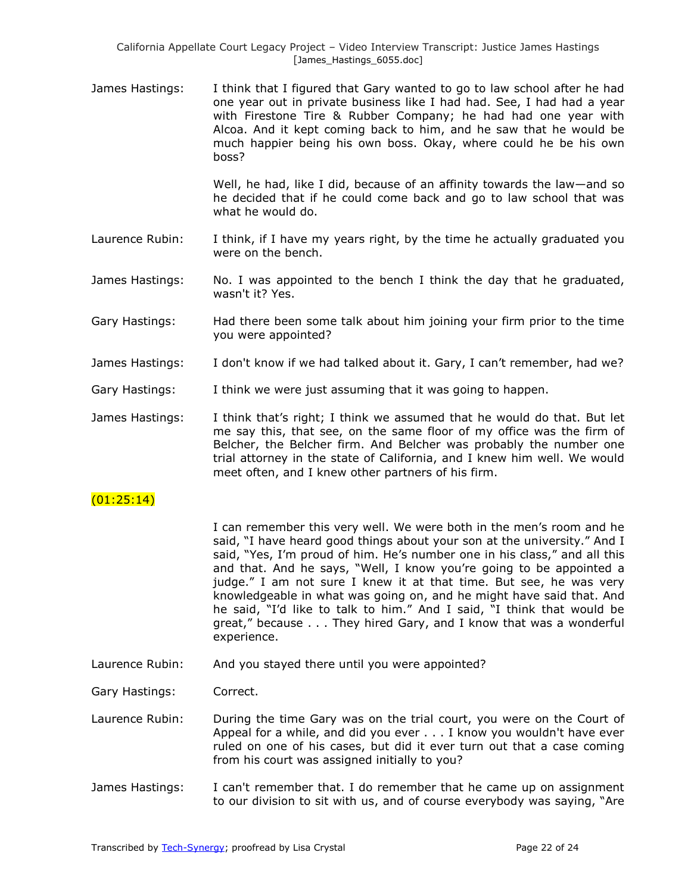James Hastings: I think that I figured that Gary wanted to go to law school after he had one year out in private business like I had had. See, I had had a year with Firestone Tire & Rubber Company; he had had one year with Alcoa. And it kept coming back to him, and he saw that he would be much happier being his own boss. Okay, where could he be his own boss?

> Well, he had, like I did, because of an affinity towards the law—and so he decided that if he could come back and go to law school that was what he would do.

- Laurence Rubin: I think, if I have my years right, by the time he actually graduated you were on the bench.
- James Hastings: No. I was appointed to the bench I think the day that he graduated, wasn't it? Yes.
- Gary Hastings: Had there been some talk about him joining your firm prior to the time you were appointed?
- James Hastings: I don't know if we had talked about it. Gary, I can't remember, had we?
- Gary Hastings: I think we were just assuming that it was going to happen.
- James Hastings: I think that's right; I think we assumed that he would do that. But let me say this, that see, on the same floor of my office was the firm of Belcher, the Belcher firm. And Belcher was probably the number one trial attorney in the state of California, and I knew him well. We would meet often, and I knew other partners of his firm.

# $(01:25:14)$

I can remember this very well. We were both in the men's room and he said, "I have heard good things about your son at the university." And I said, "Yes, I'm proud of him. He's number one in his class," and all this and that. And he says, "Well, I know you're going to be appointed a judge." I am not sure I knew it at that time. But see, he was very knowledgeable in what was going on, and he might have said that. And he said, "I'd like to talk to him." And I said, "I think that would be great," because . . . They hired Gary, and I know that was a wonderful experience.

Laurence Rubin: And you stayed there until you were appointed?

Gary Hastings: Correct.

- Laurence Rubin: During the time Gary was on the trial court, you were on the Court of Appeal for a while, and did you ever . . . I know you wouldn't have ever ruled on one of his cases, but did it ever turn out that a case coming from his court was assigned initially to you?
- James Hastings: I can't remember that. I do remember that he came up on assignment to our division to sit with us, and of course everybody was saying, "Are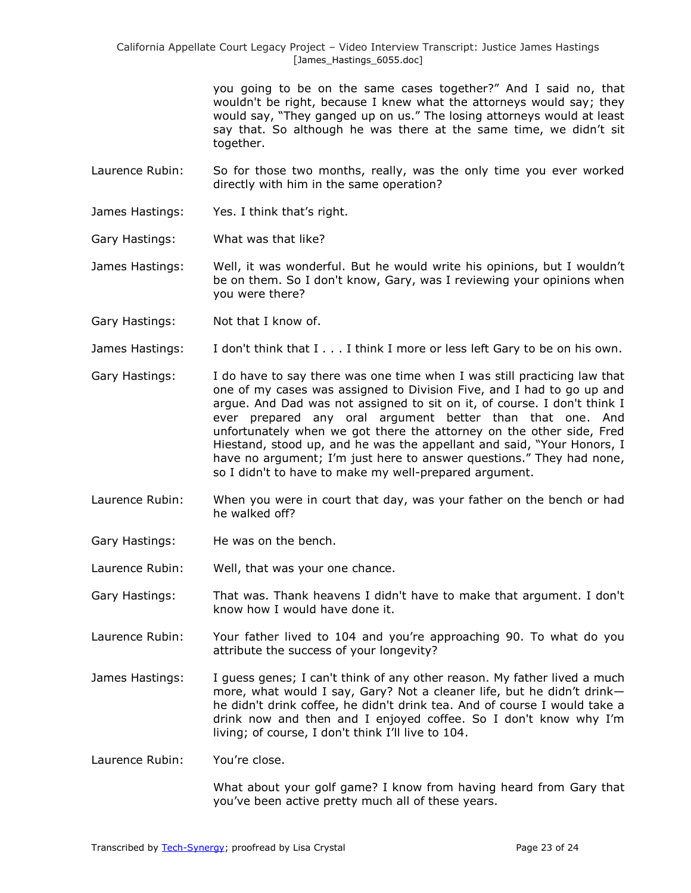> you going to be on the same cases together?" And I said no, that wouldn't be right, because I knew what the attorneys would say; they would say, "They ganged up on us." The losing attorneys would at least say that. So although he was there at the same time, we didn't sit together.

Laurence Rubin: So for those two months, really, was the only time you ever worked directly with him in the same operation?

James Hastings: Yes. I think that's right.

Gary Hastings: What was that like?

James Hastings: Well, it was wonderful. But he would write his opinions, but I wouldn't be on them. So I don't know, Gary, was I reviewing your opinions when you were there?

Gary Hastings: Not that I know of.

James Hastings: I don't think that I . . . I think I more or less left Gary to be on his own.

- Gary Hastings: I do have to say there was one time when I was still practicing law that one of my cases was assigned to Division Five, and I had to go up and argue. And Dad was not assigned to sit on it, of course. I don't think I ever prepared any oral argument better than that one. And unfortunately when we got there the attorney on the other side, Fred Hiestand, stood up, and he was the appellant and said, "Your Honors, I have no argument; I'm just here to answer questions." They had none, so I didn't to have to make my well-prepared argument.
- Laurence Rubin: When you were in court that day, was your father on the bench or had he walked off?
- Gary Hastings: He was on the bench.

Laurence Rubin: Well, that was your one chance.

- Gary Hastings: That was. Thank heavens I didn't have to make that argument. I don't know how I would have done it.
- Laurence Rubin: Your father lived to 104 and you're approaching 90. To what do you attribute the success of your longevity?
- James Hastings: I guess genes; I can't think of any other reason. My father lived a much more, what would I say, Gary? Not a cleaner life, but he didn't drink he didn't drink coffee, he didn't drink tea. And of course I would take a drink now and then and I enjoyed coffee. So I don't know why I'm living; of course, I don't think I'll live to 104.

Laurence Rubin: You're close.

What about your golf game? I know from having heard from Gary that you've been active pretty much all of these years.